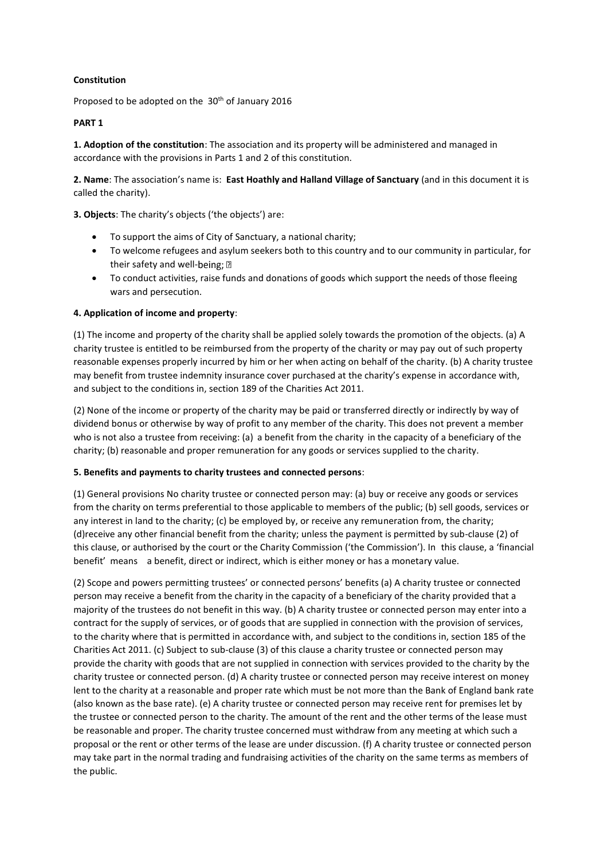# **Constitution**

Proposed to be adopted on the 30<sup>th</sup> of January 2016

## **PART 1**

**1. Adoption of the constitution**: The association and its property will be administered and managed in accordance with the provisions in Parts 1 and 2 of this constitution.

**2. Name**: The association's name is: **East Hoathly and Halland Village of Sanctuary** (and in this document it is called the charity).

**3. Objects**: The charity's objects ('the objects') are:

- To support the aims of City of Sanctuary, a national charity;
- To welcome refugees and asylum seekers both to this country and to our community in particular, for their safety and well-being; ?
- To conduct activities, raise funds and donations of goods which support the needs of those fleeing wars and persecution.

## **4. Application of income and property**:

(1) The income and property of the charity shall be applied solely towards the promotion of the objects. (a) A charity trustee is entitled to be reimbursed from the property of the charity or may pay out of such property reasonable expenses properly incurred by him or her when acting on behalf of the charity. (b) A charity trustee may benefit from trustee indemnity insurance cover purchased at the charity's expense in accordance with, and subject to the conditions in, section 189 of the Charities Act 2011.

(2) None of the income or property of the charity may be paid or transferred directly or indirectly by way of dividend bonus or otherwise by way of profit to any member of the charity. This does not prevent a member who is not also a trustee from receiving: (a) a benefit from the charity in the capacity of a beneficiary of the charity; (b) reasonable and proper remuneration for any goods or services supplied to the charity.

### **5. Benefits and payments to charity trustees and connected persons**:

(1) General provisions No charity trustee or connected person may: (a) buy or receive any goods or services from the charity on terms preferential to those applicable to members of the public; (b) sell goods, services or any interest in land to the charity; (c) be employed by, or receive any remuneration from, the charity; (d)receive any other financial benefit from the charity; unless the payment is permitted by sub-clause (2) of this clause, or authorised by the court or the Charity Commission ('the Commission'). In this clause, a 'financial benefit' means a benefit, direct or indirect, which is either money or has a monetary value.

(2) Scope and powers permitting trustees' or connected persons' benefits (a) A charity trustee or connected person may receive a benefit from the charity in the capacity of a beneficiary of the charity provided that a majority of the trustees do not benefit in this way. (b) A charity trustee or connected person may enter into a contract for the supply of services, or of goods that are supplied in connection with the provision of services, to the charity where that is permitted in accordance with, and subject to the conditions in, section 185 of the Charities Act 2011. (c) Subject to sub-clause (3) of this clause a charity trustee or connected person may provide the charity with goods that are not supplied in connection with services provided to the charity by the charity trustee or connected person. (d) A charity trustee or connected person may receive interest on money lent to the charity at a reasonable and proper rate which must be not more than the Bank of England bank rate (also known as the base rate). (e) A charity trustee or connected person may receive rent for premises let by the trustee or connected person to the charity. The amount of the rent and the other terms of the lease must be reasonable and proper. The charity trustee concerned must withdraw from any meeting at which such a proposal or the rent or other terms of the lease are under discussion. (f) A charity trustee or connected person may take part in the normal trading and fundraising activities of the charity on the same terms as members of the public.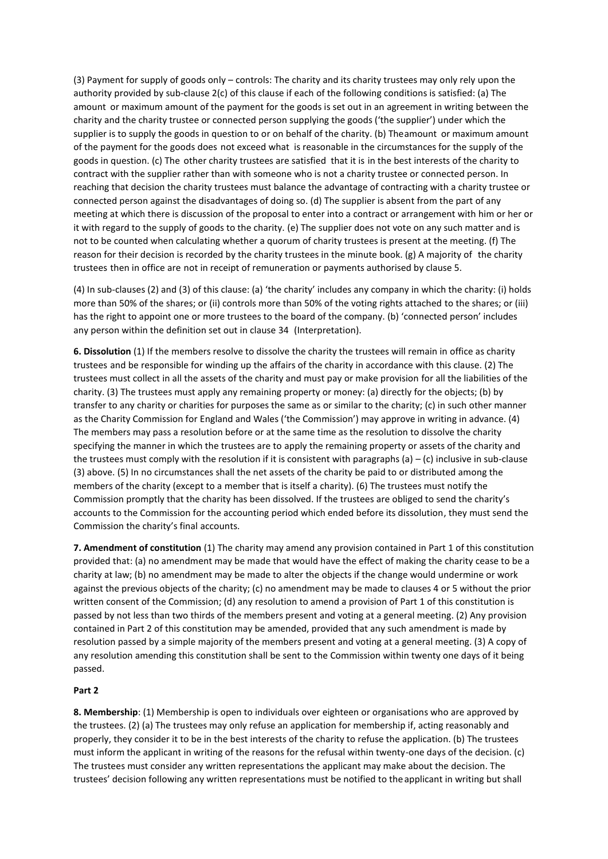(3) Payment for supply of goods only – controls: The charity and its charity trustees may only rely upon the authority provided by sub-clause 2(c) of this clause if each of the following conditions is satisfied: (a) The amount or maximum amount of the payment for the goods is set out in an agreement in writing between the charity and the charity trustee or connected person supplying the goods ('the supplier') under which the supplier is to supply the goods in question to or on behalf of the charity. (b) Theamount or maximum amount of the payment for the goods does not exceed what is reasonable in the circumstances for the supply of the goods in question. (c) The other charity trustees are satisfied that it is in the best interests of the charity to contract with the supplier rather than with someone who is not a charity trustee or connected person. In reaching that decision the charity trustees must balance the advantage of contracting with a charity trustee or connected person against the disadvantages of doing so. (d) The supplier is absent from the part of any meeting at which there is discussion of the proposal to enter into a contract or arrangement with him or her or it with regard to the supply of goods to the charity. (e) The supplier does not vote on any such matter and is not to be counted when calculating whether a quorum of charity trustees is present at the meeting. (f) The reason for their decision is recorded by the charity trustees in the minute book. (g) A majority of the charity trustees then in office are not in receipt of remuneration or payments authorised by clause 5.

(4) In sub-clauses (2) and (3) of this clause: (a) 'the charity' includes any company in which the charity: (i) holds more than 50% of the shares; or (ii) controls more than 50% of the voting rights attached to the shares; or (iii) has the right to appoint one or more trustees to the board of the company. (b) 'connected person' includes any person within the definition set out in clause 34 (Interpretation).

**6. Dissolution** (1) If the members resolve to dissolve the charity the trustees will remain in office as charity trustees and be responsible for winding up the affairs of the charity in accordance with this clause. (2) The trustees must collect in all the assets of the charity and must pay or make provision for all the liabilities of the charity. (3) The trustees must apply any remaining property or money: (a) directly for the objects; (b) by transfer to any charity or charities for purposes the same as or similar to the charity; (c) in such other manner as the Charity Commission for England and Wales ('the Commission') may approve in writing in advance. (4) The members may pass a resolution before or at the same time as the resolution to dissolve the charity specifying the manner in which the trustees are to apply the remaining property or assets of the charity and the trustees must comply with the resolution if it is consistent with paragraphs (a)  $-$  (c) inclusive in sub-clause (3) above. (5) In no circumstances shall the net assets of the charity be paid to or distributed among the members of the charity (except to a member that is itself a charity). (6) The trustees must notify the Commission promptly that the charity has been dissolved. If the trustees are obliged to send the charity's accounts to the Commission for the accounting period which ended before its dissolution, they must send the Commission the charity's final accounts.

**7. Amendment of constitution** (1) The charity may amend any provision contained in Part 1 of this constitution provided that: (a) no amendment may be made that would have the effect of making the charity cease to be a charity at law; (b) no amendment may be made to alter the objects if the change would undermine or work against the previous objects of the charity; (c) no amendment may be made to clauses 4 or 5 without the prior written consent of the Commission; (d) any resolution to amend a provision of Part 1 of this constitution is passed by not less than two thirds of the members present and voting at a general meeting. (2) Any provision contained in Part 2 of this constitution may be amended, provided that any such amendment is made by resolution passed by a simple majority of the members present and voting at a general meeting. (3) A copy of any resolution amending this constitution shall be sent to the Commission within twenty one days of it being passed.

### **Part 2**

**8. Membership**: (1) Membership is open to individuals over eighteen or organisations who are approved by the trustees. (2) (a) The trustees may only refuse an application for membership if, acting reasonably and properly, they consider it to be in the best interests of the charity to refuse the application. (b) The trustees must inform the applicant in writing of the reasons for the refusal within twenty-one days of the decision. (c) The trustees must consider any written representations the applicant may make about the decision. The trustees' decision following any written representations must be notified to the applicant in writing but shall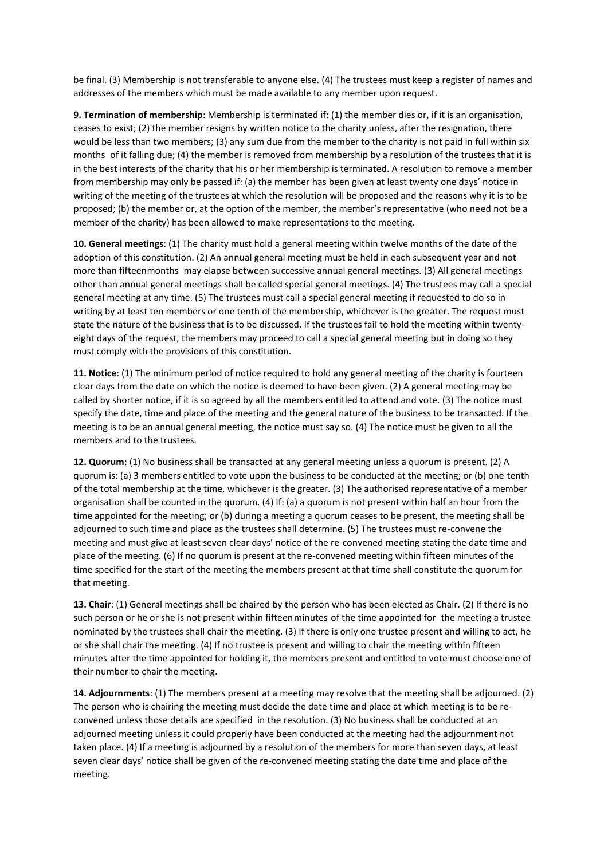be final. (3) Membership is not transferable to anyone else. (4) The trustees must keep a register of names and addresses of the members which must be made available to any member upon request.

**9. Termination of membership**: Membership is terminated if: (1) the member dies or, if it is an organisation, ceases to exist; (2) the member resigns by written notice to the charity unless, after the resignation, there would be less than two members; (3) any sum due from the member to the charity is not paid in full within six months of it falling due; (4) the member is removed from membership by a resolution of the trustees that it is in the best interests of the charity that his or her membership is terminated. A resolution to remove a member from membership may only be passed if: (a) the member has been given at least twenty one days' notice in writing of the meeting of the trustees at which the resolution will be proposed and the reasons why it is to be proposed; (b) the member or, at the option of the member, the member's representative (who need not be a member of the charity) has been allowed to make representations to the meeting.

**10. General meetings**: (1) The charity must hold a general meeting within twelve months of the date of the adoption of this constitution. (2) An annual general meeting must be held in each subsequent year and not more than fifteenmonths may elapse between successive annual general meetings. (3) All general meetings other than annual general meetings shall be called special general meetings. (4) The trustees may call a special general meeting at any time. (5) The trustees must call a special general meeting if requested to do so in writing by at least ten members or one tenth of the membership, whichever is the greater. The request must state the nature of the business that is to be discussed. If the trustees fail to hold the meeting within twentyeight days of the request, the members may proceed to call a special general meeting but in doing so they must comply with the provisions of this constitution.

**11. Notice**: (1) The minimum period of notice required to hold any general meeting of the charity is fourteen clear days from the date on which the notice is deemed to have been given. (2) A general meeting may be called by shorter notice, if it is so agreed by all the members entitled to attend and vote. (3) The notice must specify the date, time and place of the meeting and the general nature of the business to be transacted. If the meeting is to be an annual general meeting, the notice must say so. (4) The notice must be given to all the members and to the trustees.

**12. Quorum**: (1) No business shall be transacted at any general meeting unless a quorum is present. (2) A quorum is: (a) 3 members entitled to vote upon the business to be conducted at the meeting; or (b) one tenth of the total membership at the time, whichever is the greater. (3) The authorised representative of a member organisation shall be counted in the quorum. (4) If: (a) a quorum is not present within half an hour from the time appointed for the meeting; or (b) during a meeting a quorum ceases to be present, the meeting shall be adjourned to such time and place as the trustees shall determine. (5) The trustees must re-convene the meeting and must give at least seven clear days' notice of the re-convened meeting stating the date time and place of the meeting. (6) If no quorum is present at the re-convened meeting within fifteen minutes of the time specified for the start of the meeting the members present at that time shall constitute the quorum for that meeting.

**13. Chair**: (1) General meetings shall be chaired by the person who has been elected as Chair. (2) If there is no such person or he or she is not present within fifteenminutes of the time appointed for the meeting a trustee nominated by the trustees shall chair the meeting. (3) If there is only one trustee present and willing to act, he or she shall chair the meeting. (4) If no trustee is present and willing to chair the meeting within fifteen minutes after the time appointed for holding it, the members present and entitled to vote must choose one of their number to chair the meeting.

**14. Adjournments**: (1) The members present at a meeting may resolve that the meeting shall be adjourned. (2) The person who is chairing the meeting must decide the date time and place at which meeting is to be reconvened unless those details are specified in the resolution. (3) No business shall be conducted at an adjourned meeting unless it could properly have been conducted at the meeting had the adjournment not taken place. (4) If a meeting is adjourned by a resolution of the members for more than seven days, at least seven clear days' notice shall be given of the re-convened meeting stating the date time and place of the meeting.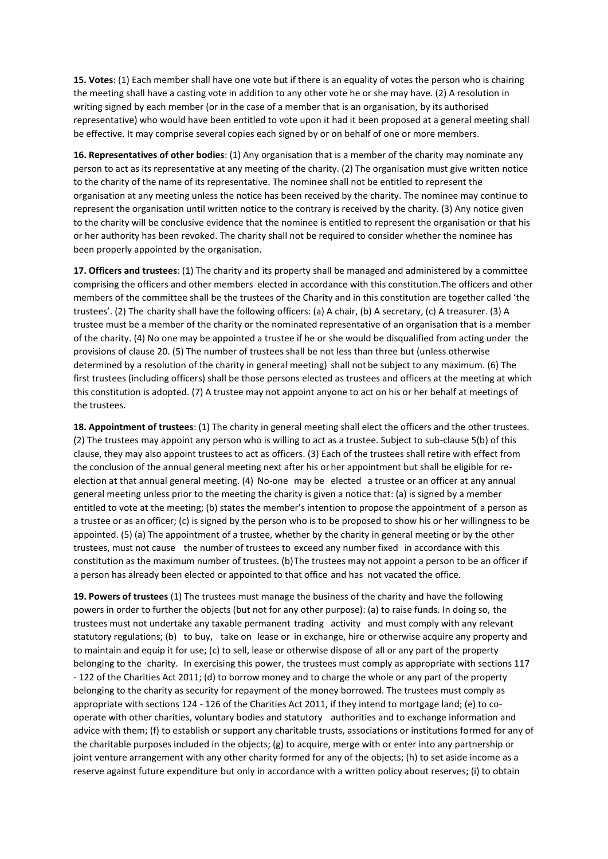**15. Votes**: (1) Each member shall have one vote but if there is an equality of votes the person who is chairing the meeting shall have a casting vote in addition to any other vote he or she may have. (2) A resolution in writing signed by each member (or in the case of a member that is an organisation, by its authorised representative) who would have been entitled to vote upon it had it been proposed at a general meeting shall be effective. It may comprise several copies each signed by or on behalf of one or more members.

**16. Representatives of other bodies**: (1) Any organisation that is a member of the charity may nominate any person to act as its representative at any meeting of the charity. (2) The organisation must give written notice to the charity of the name of its representative. The nominee shall not be entitled to represent the organisation at any meeting unless the notice has been received by the charity. The nominee may continue to represent the organisation until written notice to the contrary is received by the charity. (3) Any notice given to the charity will be conclusive evidence that the nominee is entitled to represent the organisation or that his or her authority has been revoked. The charity shall not be required to consider whether the nominee has been properly appointed by the organisation.

**17. Officers and trustees**: (1) The charity and its property shall be managed and administered by a committee comprising the officers and other members elected in accordance with this constitution.The officers and other members of the committee shall be the trustees of the Charity and in this constitution are together called 'the trustees'. (2) The charity shall have the following officers: (a) A chair, (b) A secretary, (c) A treasurer. (3) A trustee must be a member of the charity or the nominated representative of an organisation that is a member of the charity. (4) No one may be appointed a trustee if he or she would be disqualified from acting under the provisions of clause 20. (5) The number of trustees shall be not less than three but (unless otherwise determined by a resolution of the charity in general meeting) shall not be subject to any maximum. (6) The first trustees (including officers) shall be those persons elected as trustees and officers at the meeting at which this constitution is adopted. (7) A trustee may not appoint anyone to act on his or her behalf at meetings of the trustees.

**18. Appointment of trustees**: (1) The charity in general meeting shall elect the officers and the other trustees. (2) The trustees may appoint any person who is willing to act as a trustee. Subject to sub-clause 5(b) of this clause, they may also appoint trustees to act as officers. (3) Each of the trustees shall retire with effect from the conclusion of the annual general meeting next after his or her appointment but shall be eligible for reelection at that annual general meeting. (4) No-one may be elected a trustee or an officer at any annual general meeting unless prior to the meeting the charity is given a notice that: (a) is signed by a member entitled to vote at the meeting; (b) states the member's intention to propose the appointment of a person as a trustee or as an officer; (c) is signed by the person who is to be proposed to show his or her willingness to be appointed. (5) (a) The appointment of a trustee, whether by the charity in general meeting or by the other trustees, must not cause the number of trustees to exceed any number fixed in accordance with this constitution as the maximum number of trustees. (b) The trustees may not appoint a person to be an officer if a person has already been elected or appointed to that office and has not vacated the office.

**19. Powers of trustees** (1) The trustees must manage the business of the charity and have the following powers in order to further the objects (but not for any other purpose): (a) to raise funds. In doing so, the trustees must not undertake any taxable permanent trading activity and must comply with any relevant statutory regulations; (b) to buy, take on lease or in exchange, hire or otherwise acquire any property and to maintain and equip it for use; (c) to sell, lease or otherwise dispose of all or any part of the property belonging to the charity. In exercising this power, the trustees must comply as appropriate with sections 117 - 122 of the Charities Act 2011; (d) to borrow money and to charge the whole or any part of the property belonging to the charity as security for repayment of the money borrowed. The trustees must comply as appropriate with sections 124 - 126 of the Charities Act 2011, if they intend to mortgage land; (e) to cooperate with other charities, voluntary bodies and statutory authorities and to exchange information and advice with them; (f) to establish or support any charitable trusts, associations or institutions formed for any of the charitable purposes included in the objects; (g) to acquire, merge with or enter into any partnership or joint venture arrangement with any other charity formed for any of the objects; (h) to set aside income as a reserve against future expenditure but only in accordance with a written policy about reserves; (i) to obtain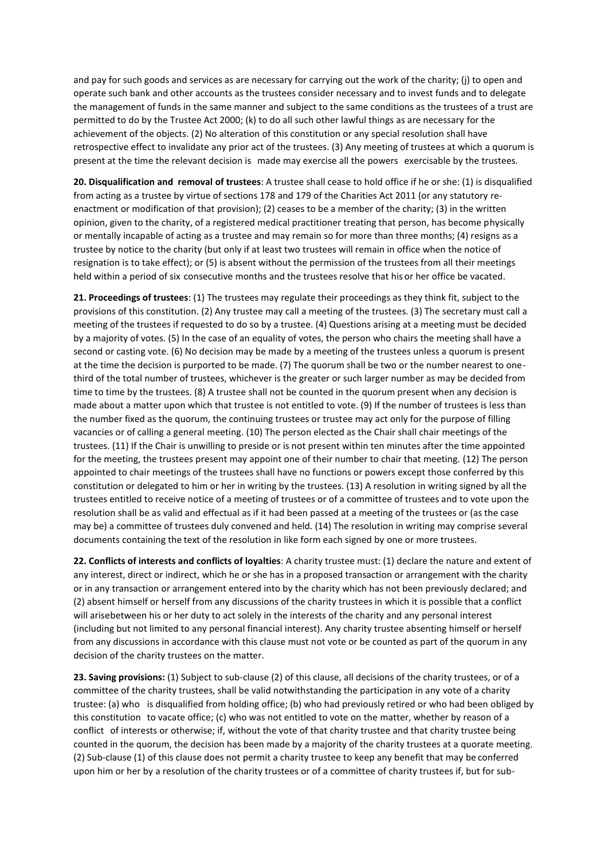and pay for such goods and services as are necessary for carrying out the work of the charity; (j) to open and operate such bank and other accounts as the trustees consider necessary and to invest funds and to delegate the management of funds in the same manner and subject to the same conditions as the trustees of a trust are permitted to do by the Trustee Act 2000; (k) to do all such other lawful things as are necessary for the achievement of the objects. (2) No alteration of this constitution or any special resolution shall have retrospective effect to invalidate any prior act of the trustees. (3) Any meeting of trustees at which a quorum is present at the time the relevant decision is made may exercise all the powers exercisable by the trustees.

**20. Disqualification and removal of trustees**: A trustee shall cease to hold office if he or she: (1) is disqualified from acting as a trustee by virtue of sections 178 and 179 of the Charities Act 2011 (or any statutory reenactment or modification of that provision); (2) ceases to be a member of the charity; (3) in the written opinion, given to the charity, of a registered medical practitioner treating that person, has become physically or mentally incapable of acting as a trustee and may remain so for more than three months; (4) resigns as a trustee by notice to the charity (but only if at least two trustees will remain in office when the notice of resignation is to take effect); or (5) is absent without the permission of the trustees from all their meetings held within a period of six consecutive months and the trustees resolve that his or her office be vacated.

**21. Proceedings of trustees**: (1) The trustees may regulate their proceedings as they think fit, subject to the provisions of this constitution. (2) Any trustee may call a meeting of the trustees. (3) The secretary must call a meeting of the trustees if requested to do so by a trustee. (4) Questions arising at a meeting must be decided by a majority of votes. (5) In the case of an equality of votes, the person who chairs the meeting shall have a second or casting vote. (6) No decision may be made by a meeting of the trustees unless a quorum is present at the time the decision is purported to be made. (7) The quorum shall be two or the number nearest to onethird of the total number of trustees, whichever is the greater or such larger number as may be decided from time to time by the trustees. (8) A trustee shall not be counted in the quorum present when any decision is made about a matter upon which that trustee is not entitled to vote. (9) If the number of trustees is less than the number fixed as the quorum, the continuing trustees or trustee may act only for the purpose of filling vacancies or of calling a general meeting. (10) The person elected as the Chair shall chair meetings of the trustees. (11) If the Chair is unwilling to preside or is not present within ten minutes after the time appointed for the meeting, the trustees present may appoint one of their number to chair that meeting. (12) The person appointed to chair meetings of the trustees shall have no functions or powers except those conferred by this constitution or delegated to him or her in writing by the trustees. (13) A resolution in writing signed by all the trustees entitled to receive notice of a meeting of trustees or of a committee of trustees and to vote upon the resolution shall be as valid and effectual as if it had been passed at a meeting of the trustees or (as the case may be) a committee of trustees duly convened and held. (14) The resolution in writing may comprise several documents containing the text of the resolution in like form each signed by one or more trustees.

**22. Conflicts of interests and conflicts of loyalties**: A charity trustee must: (1) declare the nature and extent of any interest, direct or indirect, which he or she has in a proposed transaction or arrangement with the charity or in any transaction or arrangement entered into by the charity which has not been previously declared; and (2) absent himself or herself from any discussions of the charity trustees in which it is possible that a conflict will arisebetween his or her duty to act solely in the interests of the charity and any personal interest (including but not limited to any personal financial interest). Any charity trustee absenting himself or herself from any discussions in accordance with this clause must not vote or be counted as part of the quorum in any decision of the charity trustees on the matter.

**23. Saving provisions:** (1) Subject to sub-clause (2) of this clause, all decisions of the charity trustees, or of a committee of the charity trustees, shall be valid notwithstanding the participation in any vote of a charity trustee: (a) who is disqualified from holding office; (b) who had previously retired or who had been obliged by this constitution to vacate office; (c) who was not entitled to vote on the matter, whether by reason of a conflict of interests or otherwise; if, without the vote of that charity trustee and that charity trustee being counted in the quorum, the decision has been made by a majority of the charity trustees at a quorate meeting. (2) Sub-clause (1) of this clause does not permit a charity trustee to keep any benefit that may be conferred upon him or her by a resolution of the charity trustees or of a committee of charity trustees if, but for sub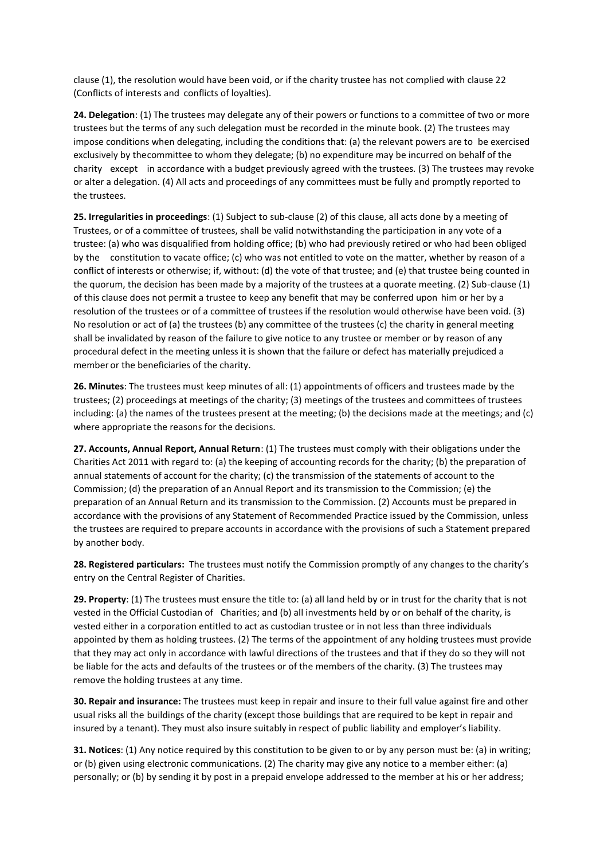clause (1), the resolution would have been void, or if the charity trustee has not complied with clause 22 (Conflicts of interests and conflicts of loyalties).

**24. Delegation**: (1) The trustees may delegate any of their powers or functions to a committee of two or more trustees but the terms of any such delegation must be recorded in the minute book. (2) The trustees may impose conditions when delegating, including the conditions that: (a) the relevant powers are to be exercised exclusively by thecommittee to whom they delegate; (b) no expenditure may be incurred on behalf of the charity except in accordance with a budget previously agreed with the trustees. (3) The trustees may revoke or alter a delegation. (4) All acts and proceedings of any committees must be fully and promptly reported to the trustees.

**25. Irregularities in proceedings**: (1) Subject to sub-clause (2) of this clause, all acts done by a meeting of Trustees, or of a committee of trustees, shall be valid notwithstanding the participation in any vote of a trustee: (a) who was disqualified from holding office; (b) who had previously retired or who had been obliged by the constitution to vacate office; (c) who was not entitled to vote on the matter, whether by reason of a conflict of interests or otherwise; if, without: (d) the vote of that trustee; and (e) that trustee being counted in the quorum, the decision has been made by a majority of the trustees at a quorate meeting. (2) Sub-clause (1) of this clause does not permit a trustee to keep any benefit that may be conferred upon him or her by a resolution of the trustees or of a committee of trustees if the resolution would otherwise have been void. (3) No resolution or act of (a) the trustees (b) any committee of the trustees (c) the charity in general meeting shall be invalidated by reason of the failure to give notice to any trustee or member or by reason of any procedural defect in the meeting unless it is shown that the failure or defect has materially prejudiced a member or the beneficiaries of the charity.

**26. Minutes**: The trustees must keep minutes of all: (1) appointments of officers and trustees made by the trustees; (2) proceedings at meetings of the charity; (3) meetings of the trustees and committees of trustees including: (a) the names of the trustees present at the meeting; (b) the decisions made at the meetings; and (c) where appropriate the reasons for the decisions.

**27. Accounts, Annual Report, Annual Return**: (1) The trustees must comply with their obligations under the Charities Act 2011 with regard to: (a) the keeping of accounting records for the charity; (b) the preparation of annual statements of account for the charity; (c) the transmission of the statements of account to the Commission; (d) the preparation of an Annual Report and its transmission to the Commission; (e) the preparation of an Annual Return and its transmission to the Commission. (2) Accounts must be prepared in accordance with the provisions of any Statement of Recommended Practice issued by the Commission, unless the trustees are required to prepare accounts in accordance with the provisions of such a Statement prepared by another body.

**28. Registered particulars:** The trustees must notify the Commission promptly of any changes to the charity's entry on the Central Register of Charities.

**29. Property**: (1) The trustees must ensure the title to: (a) all land held by or in trust for the charity that is not vested in the Official Custodian of Charities; and (b) all investments held by or on behalf of the charity, is vested either in a corporation entitled to act as custodian trustee or in not less than three individuals appointed by them as holding trustees. (2) The terms of the appointment of any holding trustees must provide that they may act only in accordance with lawful directions of the trustees and that if they do so they will not be liable for the acts and defaults of the trustees or of the members of the charity. (3) The trustees may remove the holding trustees at any time.

**30. Repair and insurance:** The trustees must keep in repair and insure to their full value against fire and other usual risks all the buildings of the charity (except those buildings that are required to be kept in repair and insured by a tenant). They must also insure suitably in respect of public liability and employer's liability.

**31. Notices**: (1) Any notice required by this constitution to be given to or by any person must be: (a) in writing; or (b) given using electronic communications. (2) The charity may give any notice to a member either: (a) personally; or (b) by sending it by post in a prepaid envelope addressed to the member at his or her address;